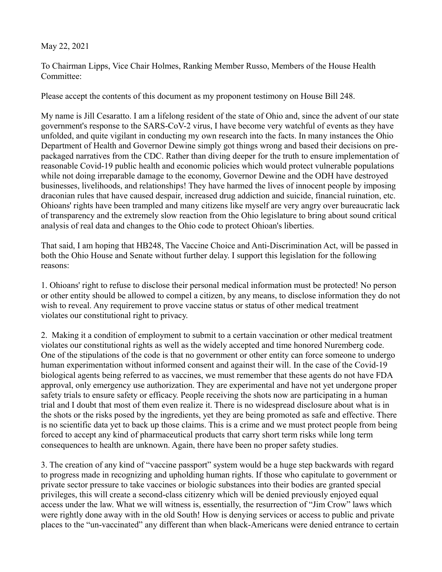## May 22, 2021

To Chairman Lipps, Vice Chair Holmes, Ranking Member Russo, Members of the House Health Committee:

Please accept the contents of this document as my proponent testimony on House Bill 248.

My name is Jill Cesaratto. I am a lifelong resident of the state of Ohio and, since the advent of our state government's response to the SARS-CoV-2 virus, I have become very watchful of events as they have unfolded, and quite vigilant in conducting my own research into the facts. In many instances the Ohio Department of Health and Governor Dewine simply got things wrong and based their decisions on prepackaged narratives from the CDC. Rather than diving deeper for the truth to ensure implementation of reasonable Covid-19 public health and economic policies which would protect vulnerable populations while not doing irreparable damage to the economy, Governor Dewine and the ODH have destroyed businesses, livelihoods, and relationships! They have harmed the lives of innocent people by imposing draconian rules that have caused despair, increased drug addiction and suicide, financial ruination, etc. Ohioans' rights have been trampled and many citizens like myself are very angry over bureaucratic lack of transparency and the extremely slow reaction from the Ohio legislature to bring about sound critical analysis of real data and changes to the Ohio code to protect Ohioan's liberties.

That said, I am hoping that HB248, The Vaccine Choice and Anti-Discrimination Act, will be passed in both the Ohio House and Senate without further delay. I support this legislation for the following reasons:

1. Ohioans' right to refuse to disclose their personal medical information must be protected! No person or other entity should be allowed to compel a citizen, by any means, to disclose information they do not wish to reveal. Any requirement to prove vaccine status or status of other medical treatment violates our constitutional right to privacy.

2. Making it a condition of employment to submit to a certain vaccination or other medical treatment violates our constitutional rights as well as the widely accepted and time honored Nuremberg code. One of the stipulations of the code is that no government or other entity can force someone to undergo human experimentation without informed consent and against their will. In the case of the Covid-19 biological agents being referred to as vaccines, we must remember that these agents do not have FDA approval, only emergency use authorization. They are experimental and have not yet undergone proper safety trials to ensure safety or efficacy. People receiving the shots now are participating in a human trial and I doubt that most of them even realize it. There is no widespread disclosure about what is in the shots or the risks posed by the ingredients, yet they are being promoted as safe and effective. There is no scientific data yet to back up those claims. This is a crime and we must protect people from being forced to accept any kind of pharmaceutical products that carry short term risks while long term consequences to health are unknown. Again, there have been no proper safety studies.

3. The creation of any kind of "vaccine passport" system would be a huge step backwards with regard to progress made in recognizing and upholding human rights. If those who capitulate to government or private sector pressure to take vaccines or biologic substances into their bodies are granted special privileges, this will create a second-class citizenry which will be denied previously enjoyed equal access under the law. What we will witness is, essentially, the resurrection of "Jim Crow" laws which were rightly done away with in the old South! How is denying services or access to public and private places to the "un-vaccinated" any different than when black-Americans were denied entrance to certain